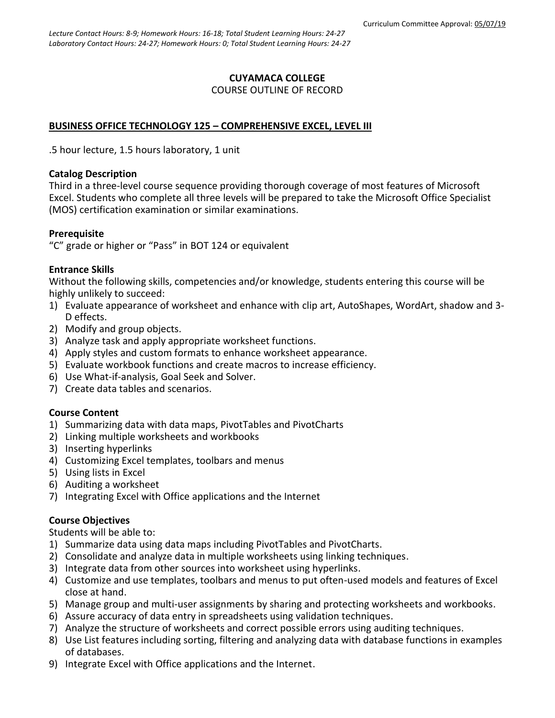# **CUYAMACA COLLEGE** COURSE OUTLINE OF RECORD

# **BUSINESS OFFICE TECHNOLOGY 125 – COMPREHENSIVE EXCEL, LEVEL III**

.5 hour lecture, 1.5 hours laboratory, 1 unit

# **Catalog Description**

Third in a three-level course sequence providing thorough coverage of most features of Microsoft Excel. Students who complete all three levels will be prepared to take the Microsoft Office Specialist (MOS) certification examination or similar examinations.

# **Prerequisite**

"C" grade or higher or "Pass" in BOT 124 or equivalent

# **Entrance Skills**

Without the following skills, competencies and/or knowledge, students entering this course will be highly unlikely to succeed:

- 1) Evaluate appearance of worksheet and enhance with clip art, AutoShapes, WordArt, shadow and 3- D effects.
- 2) Modify and group objects.
- 3) Analyze task and apply appropriate worksheet functions.
- 4) Apply styles and custom formats to enhance worksheet appearance.
- 5) Evaluate workbook functions and create macros to increase efficiency.
- 6) Use What-if-analysis, Goal Seek and Solver.
- 7) Create data tables and scenarios.

# **Course Content**

- 1) Summarizing data with data maps, PivotTables and PivotCharts
- 2) Linking multiple worksheets and workbooks
- 3) Inserting hyperlinks
- 4) Customizing Excel templates, toolbars and menus
- 5) Using lists in Excel
- 6) Auditing a worksheet
- 7) Integrating Excel with Office applications and the Internet

# **Course Objectives**

Students will be able to:

- 1) Summarize data using data maps including PivotTables and PivotCharts.
- 2) Consolidate and analyze data in multiple worksheets using linking techniques.
- 3) Integrate data from other sources into worksheet using hyperlinks.
- 4) Customize and use templates, toolbars and menus to put often-used models and features of Excel close at hand.
- 5) Manage group and multi-user assignments by sharing and protecting worksheets and workbooks.
- 6) Assure accuracy of data entry in spreadsheets using validation techniques.
- 7) Analyze the structure of worksheets and correct possible errors using auditing techniques.
- 8) Use List features including sorting, filtering and analyzing data with database functions in examples of databases.
- 9) Integrate Excel with Office applications and the Internet.